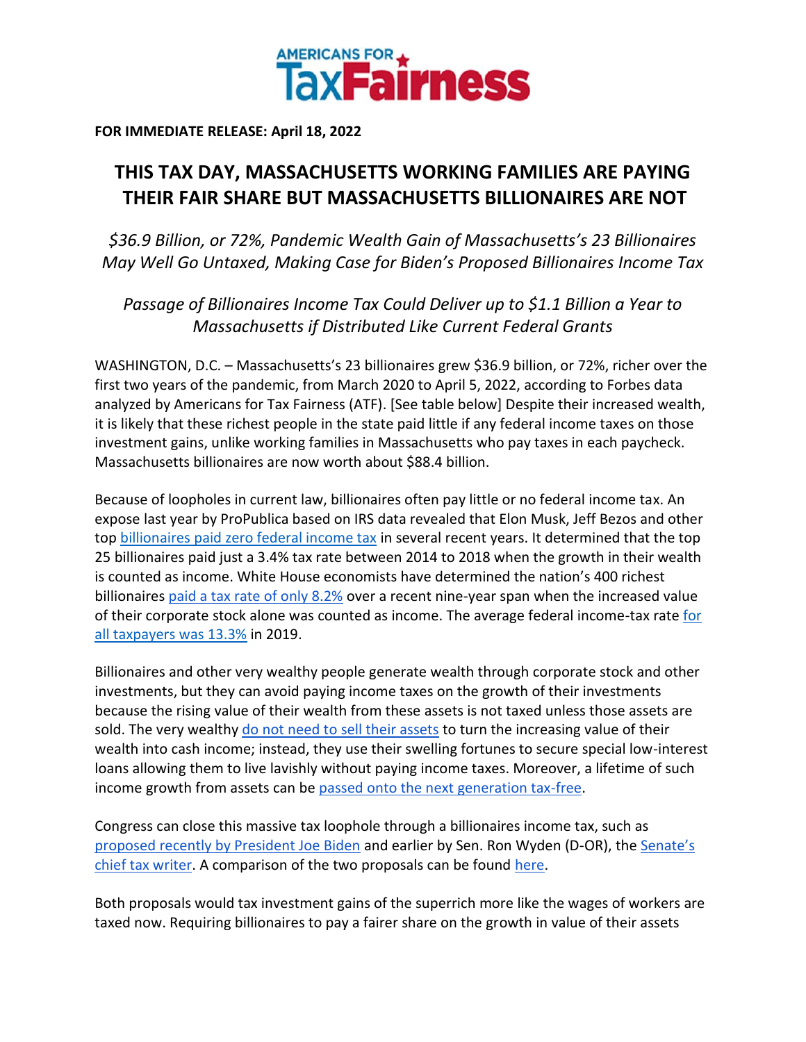

**FOR IMMEDIATE RELEASE: April 18, 2022**

## **THIS TAX DAY, MASSACHUSETTS WORKING FAMILIES ARE PAYING THEIR FAIR SHARE BUT MASSACHUSETTS BILLIONAIRES ARE NOT**

*\$36.9 Billion, or 72%, Pandemic Wealth Gain of Massachusetts's 23 Billionaires May Well Go Untaxed, Making Case for Biden's Proposed Billionaires Income Tax*

*Passage of Billionaires Income Tax Could Deliver up to \$1.1 Billion a Year to Massachusetts if Distributed Like Current Federal Grants*

WASHINGTON, D.C. – Massachusetts's 23 billionaires grew \$36.9 billion, or 72%, richer over the first two years of the pandemic, from March 2020 to April 5, 2022, according to Forbes data analyzed by Americans for Tax Fairness (ATF). [See table below] Despite their increased wealth, it is likely that these richest people in the state paid little if any federal income taxes on those investment gains, unlike working families in Massachusetts who pay taxes in each paycheck. Massachusetts billionaires are now worth about \$88.4 billion.

Because of loopholes in current law, billionaires often pay little or no federal income tax. An expose last year by ProPublica based on IRS data revealed that Elon Musk, Jeff Bezos and other to[p](https://americansfortaxfairness.org/wp-content/uploads/ProPublica-Billionaires-Fact-Sheet-Updated.pdf) [billionaires paid zero federal income tax](https://americansfortaxfairness.org/wp-content/uploads/ProPublica-Billionaires-Fact-Sheet-Updated.pdf) in several recent years. It determined that the top 25 billionaires paid just a 3.4% tax rate between 2014 to 2018 when the growth in their wealth is counted as income. White House economists have determined the nation's 400 richest billionaire[s](https://www.whitehouse.gov/cea/written-materials/2021/09/23/what-is-the-average-federal-individual-income-tax-rate-on-the-wealthiest-americans/) [paid a tax rate of only 8.2%](https://www.whitehouse.gov/cea/written-materials/2021/09/23/what-is-the-average-federal-individual-income-tax-rate-on-the-wealthiest-americans/) over a recent nine-year span when the increased value of their corporate stock alone was counted as income. The average federal income-tax rat[e](https://taxfoundation.org/summary-latest-federal-income-tax-data-2022-update/) [for](https://taxfoundation.org/summary-latest-federal-income-tax-data-2022-update/)  [all taxpayers was 13.3%](https://taxfoundation.org/summary-latest-federal-income-tax-data-2022-update/) in 2019.

Billionaires and other very wealthy people generate wealth through corporate stock and other investments, but they can avoid paying income taxes on the growth of their investments because the rising value of their wealth from these assets is not taxed unless those assets are sold. The ver[y](https://www.wsj.com/articles/buy-borrow-die-how-rich-americans-live-off-their-paper-wealth-11625909583) wealthy [do not need to sell their assets](https://www.wsj.com/articles/buy-borrow-die-how-rich-americans-live-off-their-paper-wealth-11625909583) to turn the increasing value of their wealth into cash income; instead, they use their swelling fortunes to secure special low-interest loans allowing them to live lavishly without paying income taxes. Moreover, a lifetime of such income growth from assets can b[e](https://americansfortaxfairness.org/issue/stop-protecting-billionaires-close-stepped-basis-loophole/) [passed onto the next generation tax-free.](https://americansfortaxfairness.org/issue/stop-protecting-billionaires-close-stepped-basis-loophole/)

Congress can close this massive tax loophole through a billionaires income tax, such a[s](https://www.whitehouse.gov/omb/briefing-room/2022/03/28/presidents-budget-rewards-work-not-wealth-with-new-billionaire-minimum-income-tax/) [proposed recently by President Joe Biden](https://www.whitehouse.gov/omb/briefing-room/2022/03/28/presidents-budget-rewards-work-not-wealth-with-new-billionaire-minimum-income-tax/) and earlier by Sen. Ron Wyden (D-OR), th[e](https://www.finance.senate.gov/chairmans-news/wyden-unveils-billionaires-income-tax) [Senate's](https://www.finance.senate.gov/chairmans-news/wyden-unveils-billionaires-income-tax)  [chief tax writer.](https://www.finance.senate.gov/chairmans-news/wyden-unveils-billionaires-income-tax) A comparison of the two proposals can be foun[d](https://docs.google.com/document/d/1VdQTBEMGB2dHRGIt823stOBmIdul86-N7fYAQWxp-wU/edit?usp=sharing) [here.](https://americansfortaxfairness.org/issue/comparison-biden-wyden-billionaires-income-tax-proposals-short/)

Both proposals would tax investment gains of the superrich more like the wages of workers are taxed now. Requiring billionaires to pay a fairer share on the growth in value of their assets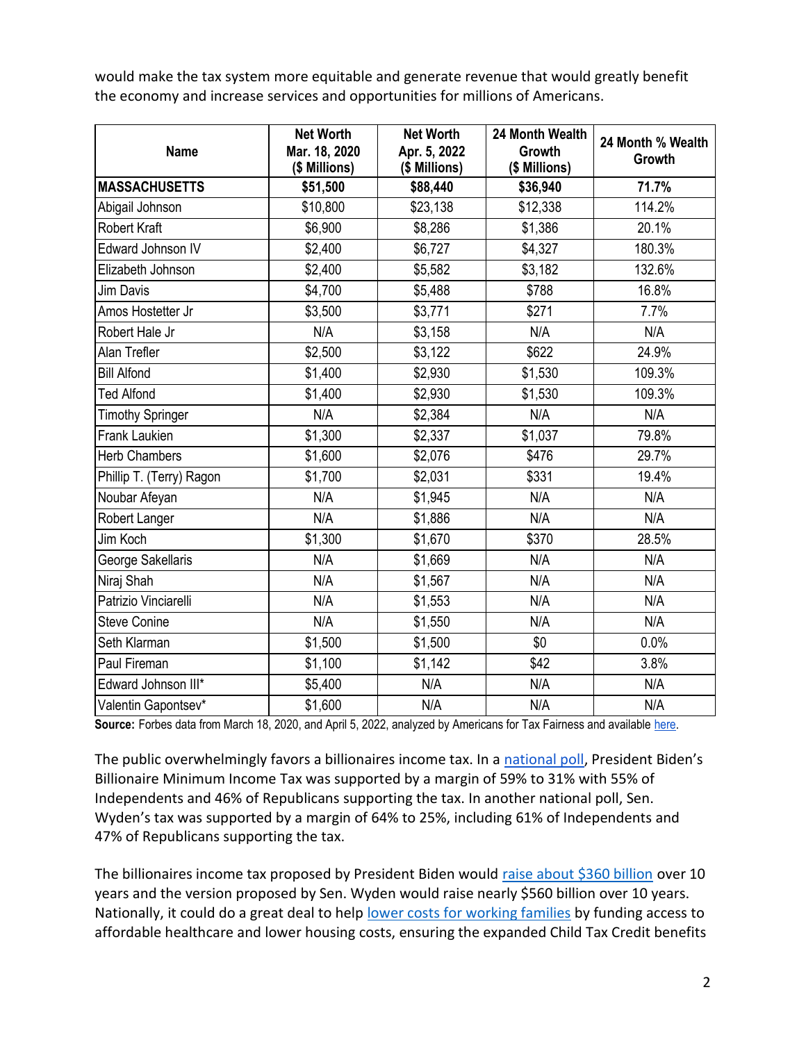would make the tax system more equitable and generate revenue that would greatly benefit the economy and increase services and opportunities for millions of Americans.

| <b>Name</b>              | <b>Net Worth</b><br>Mar. 18, 2020<br>(\$ Millions) | <b>Net Worth</b><br>Apr. 5, 2022<br>(\$ Millions) | 24 Month Wealth<br><b>Growth</b><br>(\$ Millions) | 24 Month % Wealth<br>Growth |
|--------------------------|----------------------------------------------------|---------------------------------------------------|---------------------------------------------------|-----------------------------|
| <b>MASSACHUSETTS</b>     | \$51,500                                           | \$88,440                                          | \$36,940                                          | 71.7%                       |
| Abigail Johnson          | \$10,800                                           | \$23,138                                          | \$12,338                                          | 114.2%                      |
| <b>Robert Kraft</b>      | \$6,900                                            | \$8,286                                           | \$1,386                                           | 20.1%                       |
| Edward Johnson IV        | \$2,400                                            | \$6,727                                           | \$4,327                                           | 180.3%                      |
| Elizabeth Johnson        | \$2,400                                            | \$5,582                                           | \$3,182                                           | 132.6%                      |
| <b>Jim Davis</b>         | \$4,700                                            | \$5,488                                           | \$788                                             | 16.8%                       |
| Amos Hostetter Jr        | \$3,500                                            | \$3,771                                           | \$271                                             | 7.7%                        |
| Robert Hale Jr           | N/A                                                | \$3,158                                           | N/A                                               | N/A                         |
| Alan Trefler             | \$2,500                                            | \$3,122                                           | \$622                                             | 24.9%                       |
| <b>Bill Alfond</b>       | \$1,400                                            | \$2,930                                           | \$1,530                                           | 109.3%                      |
| <b>Ted Alfond</b>        | \$1,400                                            | \$2,930                                           | \$1,530                                           | 109.3%                      |
| <b>Timothy Springer</b>  | N/A                                                | \$2,384                                           | N/A                                               | N/A                         |
| <b>Frank Laukien</b>     | \$1,300                                            | \$2,337                                           | \$1,037                                           | 79.8%                       |
| <b>Herb Chambers</b>     | \$1,600                                            | \$2,076                                           | \$476                                             | 29.7%                       |
| Phillip T. (Terry) Ragon | \$1,700                                            | \$2,031                                           | \$331                                             | 19.4%                       |
| Noubar Afeyan            | N/A                                                | \$1,945                                           | N/A                                               | N/A                         |
| Robert Langer            | N/A                                                | \$1,886                                           | N/A                                               | N/A                         |
| Jim Koch                 | \$1,300                                            | \$1,670                                           | \$370                                             | 28.5%                       |
| George Sakellaris        | N/A                                                | \$1,669                                           | N/A                                               | N/A                         |
| Niraj Shah               | N/A                                                | \$1,567                                           | N/A                                               | N/A                         |
| Patrizio Vinciarelli     | N/A                                                | \$1,553                                           | N/A                                               | N/A                         |
| <b>Steve Conine</b>      | N/A                                                | \$1,550                                           | N/A                                               | N/A                         |
| Seth Klarman             | \$1,500                                            | \$1,500                                           | \$0                                               | 0.0%                        |
| Paul Fireman             | \$1,100                                            | \$1,142                                           | \$42                                              | 3.8%                        |
| Edward Johnson III*      | \$5,400                                            | N/A                                               | N/A                                               | N/A                         |
| Valentin Gapontsev*      | \$1,600                                            | N/A                                               | N/A                                               | N/A                         |

Source: Forbes data from March 18, 2020, and April 5, 2022, analyzed by Americans for Tax Fairness and available [here.](https://docs.google.com/spreadsheets/d/1MksOhwmIojtZihAmPcfcYeaGoG3FOFZmiKUza1dIRD4/edit?usp=sharing)

The public overwhelmingly favors a billionaires income tax. In a [national poll](https://docs.google.com/document/d/1AhWvucOLV2qY6izLkZvHpPig6DDmdFaCbmeM-5E65Xw/edit?usp=sharing), President Biden's Billionaire Minimum Income Tax was supported by a margin of 59% to 31% with 55% of Independents and 46% of Republicans supporting the tax. In another national poll, Sen. Wyden's tax was supported by a margin of 64% to 25%, including 61% of Independents and 47% of Republicans supporting the tax.

The billionaires income tax proposed by President Biden would [raise about \\$360 billion](https://americansfortaxfairness.org/issue/comparison-biden-wyden-billionaires-income-tax-proposals-short/) over 10 years and the version proposed by Sen. Wyden would raise nearly \$560 billion over 10 years. Nationally, it could do a great deal to hel[p](https://americansfortaxfairness.org/issue/6-ways-spend-revenue-billionaires-income-tax/) [lower costs for working families](https://americansfortaxfairness.org/issue/6-ways-spend-revenue-billionaires-income-tax/) by funding access to affordable healthcare and lower housing costs, ensuring the expanded Child Tax Credit benefits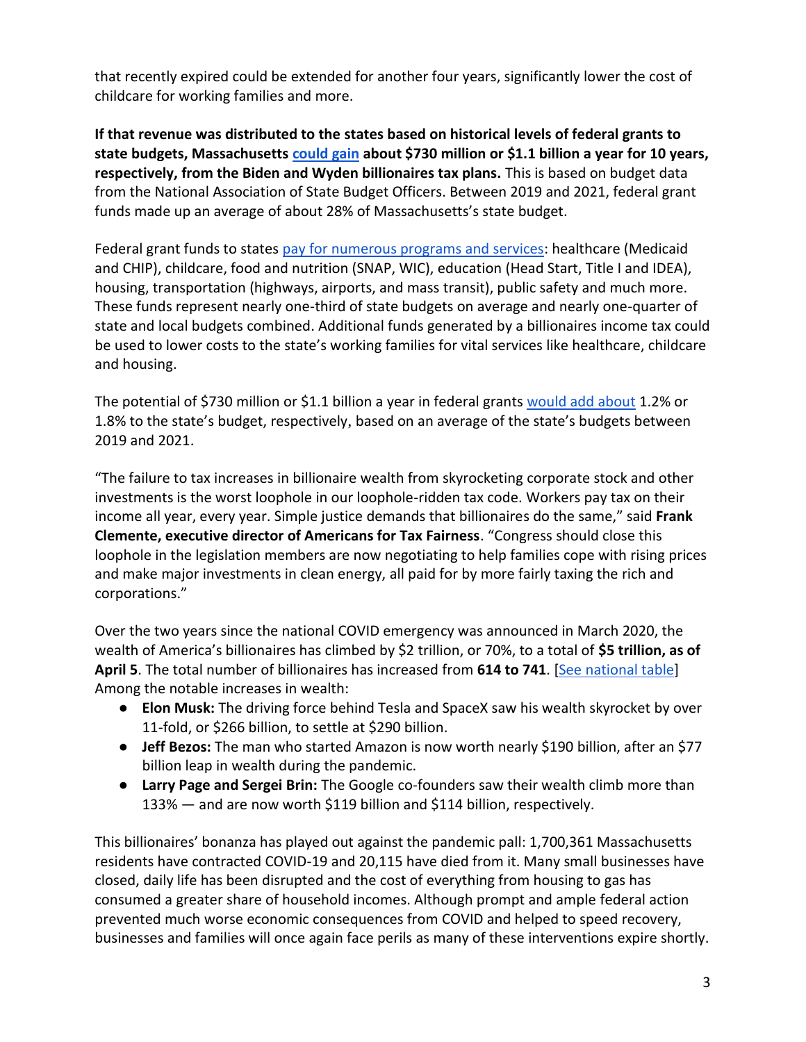that recently expired could be extended for another four years, significantly lower the cost of childcare for working families and more.

**If that revenue was distributed to the states based on historical levels of federal grants to state budgets, Massachusett[s](https://docs.google.com/spreadsheets/d/1uMGQ0_Ow8ssIrktfYIvIQZwB44zOHf82ILpvh5kzWUI/edit?usp=sharing) [could gain](https://docs.google.com/spreadsheets/d/1uMGQ0_Ow8ssIrktfYIvIQZwB44zOHf82ILpvh5kzWUI/edit?usp=sharing) about \$730 million or \$1.1 billion a year for 10 years, respectively, from the Biden and Wyden billionaires tax plans.** This is based on budget data from the National Association of State Budget Officers. Between 2019 and 2021, federal grant funds made up an average of about 28% of Massachusetts's state budget.

Federal grant funds to states [pay for numerous programs and services:](https://www.cbpp.org/research/state-budget-and-tax/federal-aid-to-state-and-local-governments) healthcare (Medicaid and CHIP), childcare, food and nutrition (SNAP, WIC), education (Head Start, Title I and IDEA), housing, transportation (highways, airports, and mass transit), public safety and much more. These funds represent nearly one-third of state budgets on average and nearly one-quarter of state and local budgets combined. Additional funds generated by a billionaires income tax could be used to lower costs to the state's working families for vital services like healthcare, childcare and housing.

The potential of \$730 million or \$1.1 billion a year in federal grant[s](https://docs.google.com/spreadsheets/d/1uMGQ0_Ow8ssIrktfYIvIQZwB44zOHf82ILpvh5kzWUI/edit?usp=sharing) [would add about](https://docs.google.com/spreadsheets/d/1uMGQ0_Ow8ssIrktfYIvIQZwB44zOHf82ILpvh5kzWUI/edit?usp=sharing) 1.2% or 1.8% to the state's budget, respectively, based on an average of the state's budgets between 2019 and 2021.

"The failure to tax increases in billionaire wealth from skyrocketing corporate stock and other investments is the worst loophole in our loophole-ridden tax code. Workers pay tax on their income all year, every year. Simple justice demands that billionaires do the same," said **Frank Clemente, executive director of Americans for Tax Fairness**. "Congress should close this loophole in the legislation members are now negotiating to help families cope with rising prices and make major investments in clean energy, all paid for by more fairly taxing the rich and corporations."

Over the two years since the national COVID emergency was announced in March 2020, the wealth of America's billionaires has climbed by \$2 trillion, or 70%, to a total of **\$5 trillion, as of April 5**. The total number of billionaires has increased from **614 to 741**. [\[See national table\]](https://docs.google.com/spreadsheets/d/1MksOhwmIojtZihAmPcfcYeaGoG3FOFZmiKUza1dIRD4/edit?usp=sharing) Among the notable increases in wealth:

- **Elon Musk:** The driving force behind Tesla and SpaceX saw his wealth skyrocket by over 11-fold, or \$266 billion, to settle at \$290 billion.
- **Jeff Bezos:** The man who started Amazon is now worth nearly \$190 billion, after an \$77 billion leap in wealth during the pandemic.
- **Larry Page and Sergei Brin:** The Google co-founders saw their wealth climb more than 133% — and are now worth \$119 billion and \$114 billion, respectively.

This billionaires' bonanza has played out against the pandemic pall: 1,700,361 Massachusetts residents have contracted COVID-19 and 20,115 have died from it. Many small businesses have closed, daily life has been disrupted and the cost of everything from housing to gas has consumed a greater share of household incomes. Although prompt and ample federal action prevented much worse economic consequences from COVID and helped to speed recovery, businesses and families will once again face perils as many of these interventions expire shortly.